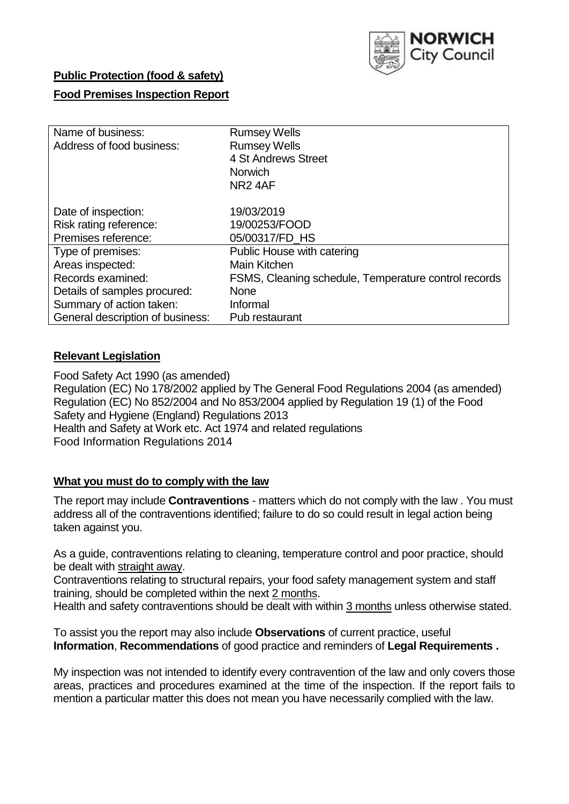

## **Public Protection (food & safety)**

### **Food Premises Inspection Report**

| Name of business:                | <b>Rumsey Wells</b>                                  |
|----------------------------------|------------------------------------------------------|
| Address of food business:        | <b>Rumsey Wells</b>                                  |
|                                  | 4 St Andrews Street                                  |
|                                  | <b>Norwich</b>                                       |
|                                  | NR <sub>2</sub> 4AF                                  |
| Date of inspection:              | 19/03/2019                                           |
| Risk rating reference:           | 19/00253/FOOD                                        |
|                                  |                                                      |
| Premises reference:              | 05/00317/FD HS                                       |
| Type of premises:                | Public House with catering                           |
| Areas inspected:                 | Main Kitchen                                         |
| Records examined:                | FSMS, Cleaning schedule, Temperature control records |
| Details of samples procured:     | None                                                 |
| Summary of action taken:         | Informal                                             |
| General description of business: | Pub restaurant                                       |

### **Relevant Legislation**

Food Safety Act 1990 (as amended) Regulation (EC) No 178/2002 applied by The General Food Regulations 2004 (as amended) Regulation (EC) No 852/2004 and No 853/2004 applied by Regulation 19 (1) of the Food Safety and Hygiene (England) Regulations 2013 Health and Safety at Work etc. Act 1974 and related regulations Food Information Regulations 2014

### **What you must do to comply with the law**

The report may include **Contraventions** - matters which do not comply with the law . You must address all of the contraventions identified; failure to do so could result in legal action being taken against you.

As a guide, contraventions relating to cleaning, temperature control and poor practice, should be dealt with straight away.

Contraventions relating to structural repairs, your food safety management system and staff training, should be completed within the next 2 months.

Health and safety contraventions should be dealt with within 3 months unless otherwise stated.

To assist you the report may also include **Observations** of current practice, useful **Information**, **Recommendations** of good practice and reminders of **Legal Requirements .**

My inspection was not intended to identify every contravention of the law and only covers those areas, practices and procedures examined at the time of the inspection. If the report fails to mention a particular matter this does not mean you have necessarily complied with the law.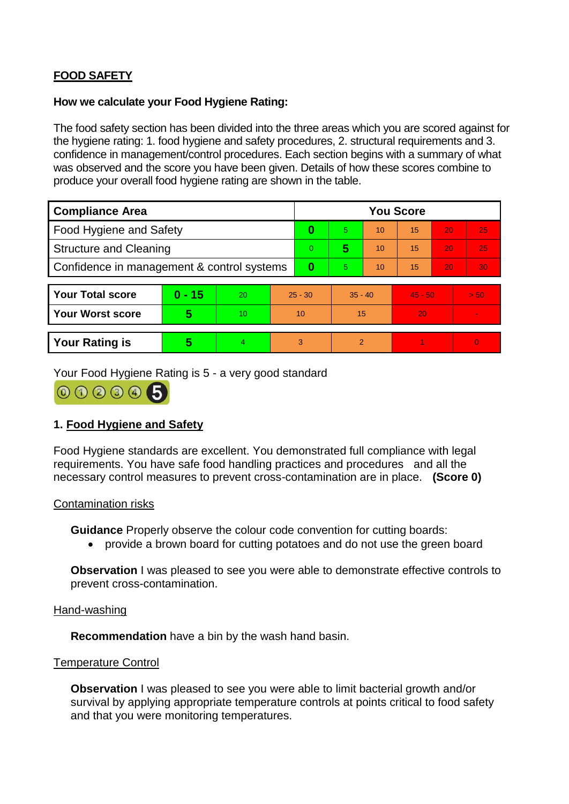# **FOOD SAFETY**

### **How we calculate your Food Hygiene Rating:**

The food safety section has been divided into the three areas which you are scored against for the hygiene rating: 1. food hygiene and safety procedures, 2. structural requirements and 3. confidence in management/control procedures. Each section begins with a summary of what was observed and the score you have been given. Details of how these scores combine to produce your overall food hygiene rating are shown in the table.

| <b>Compliance Area</b>                     |          |    |           | <b>You Score</b> |                |    |           |    |                |  |  |
|--------------------------------------------|----------|----|-----------|------------------|----------------|----|-----------|----|----------------|--|--|
| Food Hygiene and Safety                    |          |    | 0         | 5.               | 10             | 15 | 20        | 25 |                |  |  |
| <b>Structure and Cleaning</b>              |          |    | $\Omega$  | 5                | 10             | 15 | 20        | 25 |                |  |  |
| Confidence in management & control systems |          |    | 0         | 5                | 10             | 15 | 20        | 30 |                |  |  |
|                                            |          |    |           |                  |                |    |           |    |                |  |  |
| <b>Your Total score</b>                    | $0 - 15$ | 20 | $25 - 30$ |                  | $35 - 40$      |    | $45 - 50$ |    | > 50           |  |  |
| Your Worst score                           | 5        | 10 | 10        |                  | 15             |    | 20        |    |                |  |  |
|                                            |          |    |           |                  |                |    |           |    |                |  |  |
| <b>Your Rating is</b>                      | 5        | 4. | 3         |                  | $\overline{2}$ |    |           |    | $\overline{0}$ |  |  |

Your Food Hygiene Rating is 5 - a very good standard



## **1. Food Hygiene and Safety**

Food Hygiene standards are excellent. You demonstrated full compliance with legal requirements. You have safe food handling practices and procedures and all the necessary control measures to prevent cross-contamination are in place. **(Score 0)**

#### Contamination risks

**Guidance** Properly observe the colour code convention for cutting boards:

provide a brown board for cutting potatoes and do not use the green board

**Observation** I was pleased to see you were able to demonstrate effective controls to prevent cross-contamination.

### Hand-washing

**Recommendation** have a bin by the wash hand basin.

#### Temperature Control

**Observation** I was pleased to see you were able to limit bacterial growth and/or survival by applying appropriate temperature controls at points critical to food safety and that you were monitoring temperatures.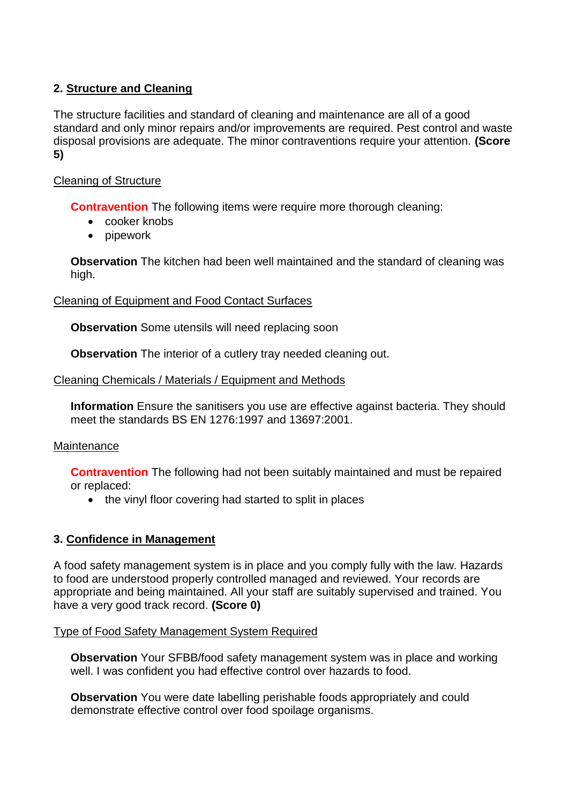# **2. Structure and Cleaning**

The structure facilities and standard of cleaning and maintenance are all of a good standard and only minor repairs and/or improvements are required. Pest control and waste disposal provisions are adequate. The minor contraventions require your attention. **(Score 5)**

## Cleaning of Structure

**Contravention** The following items were require more thorough cleaning:

- cooker knobs
- pipework

**Observation** The kitchen had been well maintained and the standard of cleaning was high.

Cleaning of Equipment and Food Contact Surfaces

**Observation** Some utensils will need replacing soon

**Observation** The interior of a cutlery tray needed cleaning out.

### Cleaning Chemicals / Materials / Equipment and Methods

**Information** Ensure the sanitisers you use are effective against bacteria. They should meet the standards BS EN 1276:1997 and 13697:2001.

### **Maintenance**

**Contravention** The following had not been suitably maintained and must be repaired or replaced:

• the vinyl floor covering had started to split in places

## **3. Confidence in Management**

A food safety management system is in place and you comply fully with the law. Hazards to food are understood properly controlled managed and reviewed. Your records are appropriate and being maintained. All your staff are suitably supervised and trained. You have a very good track record. **(Score 0)**

### Type of Food Safety Management System Required

**Observation** Your SFBB/food safety management system was in place and working well. I was confident you had effective control over hazards to food.

**Observation** You were date labelling perishable foods appropriately and could demonstrate effective control over food spoilage organisms.